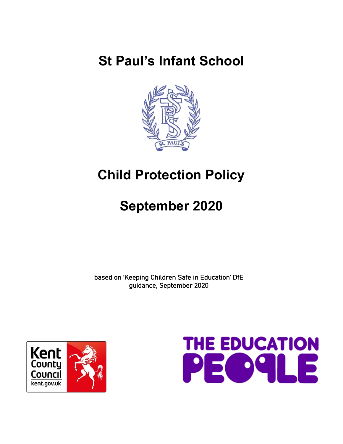# **St Paul's Infant School**



# **Child Protection Policy**

# **September 2020**

based on 'Keeping Children Safe in Education' DfE guidance, September 2020



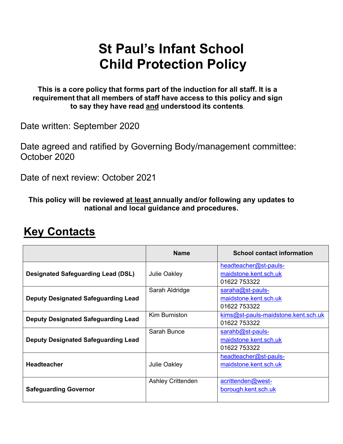# **St Paul's Infant School Child Protection Policy**

**This is a core policy that forms part of the induction for all staff. It is a requirement that all members of staff have access to this policy and sign to say they have read and understood its contents**.

Date written: September 2020

Date agreed and ratified by Governing Body/management committee: October 2020

Date of next review: October 2021

**This policy will be reviewed at least annually and/or following any updates to national and local guidance and procedures.** 

|                                            | <b>Name</b>              | <b>School contact information</b>                              |
|--------------------------------------------|--------------------------|----------------------------------------------------------------|
| <b>Designated Safeguarding Lead (DSL)</b>  | <b>Julie Oakley</b>      | headteacher@st-pauls-<br>maidstone.kent.sch.uk<br>01622 753322 |
| <b>Deputy Designated Safeguarding Lead</b> | Sarah Aldridge           | saraha@st-pauls-<br>maidstone.kent.sch.uk<br>01622 753322      |
| <b>Deputy Designated Safeguarding Lead</b> | Kim Burniston            | kims@st-pauls-maidstone.kent.sch.uk<br>01622 753322            |
| <b>Deputy Designated Safeguarding Lead</b> | Sarah Bunce              | sarahb@st-pauls-<br>maidstone.kent.sch.uk<br>01622 753322      |
| <b>Headteacher</b>                         | <b>Julie Oakley</b>      | headteacher@st-pauls-<br>maidstone.kent.sch.uk                 |
| <b>Safeguarding Governor</b>               | <b>Ashley Crittenden</b> | acrittenden@west-<br>borough.kent.sch.uk                       |

## **Key Contacts**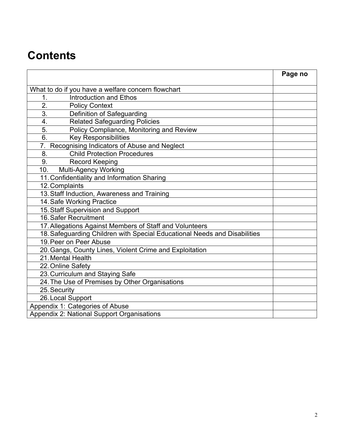## **Contents**

|                                                                           | Page no |
|---------------------------------------------------------------------------|---------|
| What to do if you have a welfare concern flowchart                        |         |
| <b>Introduction and Ethos</b><br>1.                                       |         |
| 2.<br><b>Policy Context</b>                                               |         |
| 3.<br>Definition of Safeguarding                                          |         |
| 4.<br><b>Related Safeguarding Policies</b>                                |         |
| Policy Compliance, Monitoring and Review<br>5.                            |         |
| 6.<br><b>Key Responsibilities</b>                                         |         |
| 7.<br>Recognising Indicators of Abuse and Neglect                         |         |
| <b>Child Protection Procedures</b><br>8.                                  |         |
| 9.<br><b>Record Keeping</b>                                               |         |
| Multi-Agency Working<br>10.                                               |         |
| 11. Confidentiality and Information Sharing                               |         |
| 12. Complaints                                                            |         |
| 13. Staff Induction, Awareness and Training                               |         |
| 14. Safe Working Practice                                                 |         |
| 15. Staff Supervision and Support                                         |         |
| 16. Safer Recruitment                                                     |         |
| 17. Allegations Against Members of Staff and Volunteers                   |         |
| 18. Safeguarding Children with Special Educational Needs and Disabilities |         |
| 19. Peer on Peer Abuse                                                    |         |
| 20. Gangs, County Lines, Violent Crime and Exploitation                   |         |
| 21. Mental Health                                                         |         |
| 22. Online Safety                                                         |         |
| 23. Curriculum and Staying Safe                                           |         |
| 24. The Use of Premises by Other Organisations                            |         |
| 25. Security                                                              |         |
| 26. Local Support                                                         |         |
| Appendix 1: Categories of Abuse                                           |         |
| Appendix 2: National Support Organisations                                |         |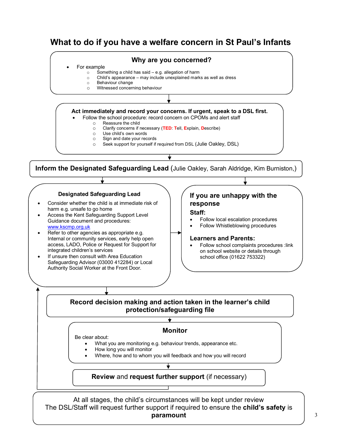## **What to do if you have a welfare concern in St Paul's Infants**



- Refer to other agencies as appropriate e.g. Internal or community services, early help open access, LADO, Police or Request for Support for integrated children's services
- If unsure then consult with Area Education Safeguarding Advisor (03000 412284) or Local Authority Social Worker at the Front Door.

#### **Learners and Parents:**

• Follow school complaints procedures :link on school website or details through school office (01622 753322)

#### **Record decision making and action taken in the learner's child protection/safeguarding file**

#### **Monitor**

Be clear about:

- What you are monitoring e.g. behaviour trends, appearance etc.
- How long you will monitor
- Where, how and to whom you will feedback and how you will record

**Review** and **request further support** (if necessary)

At all stages, the child's circumstances will be kept under review The DSL/Staff will request further support if required to ensure the **child's safety** is **paramount**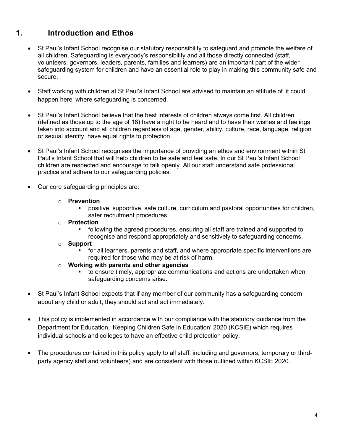## **1. Introduction and Ethos**

- St Paul's Infant School recognise our statutory responsibility to safeguard and promote the welfare of all children. Safeguarding is everybody's responsibility and all those directly connected (staff, volunteers, governors, leaders, parents, families and learners) are an important part of the wider safeguarding system for children and have an essential role to play in making this community safe and secure.
- Staff working with children at St Paul's Infant School are advised to maintain an attitude of 'it could happen here' where safeguarding is concerned.
- St Paul's Infant School believe that the best interests of children always come first. All children (defined as those up to the age of 18) have a right to be heard and to have their wishes and feelings taken into account and all children regardless of age, gender, ability, culture, race, language, religion or sexual identity, have equal rights to protection.
- St Paul's Infant School recognises the importance of providing an ethos and environment within St Paul's Infant School that will help children to be safe and feel safe. In our St Paul's Infant School children are respected and encourage to talk openly. All our staff understand safe professional practice and adhere to our safeguarding policies.
- Our core safeguarding principles are:
	- o **Prevention**
		- § positive, supportive, safe culture, curriculum and pastoral opportunities for children, safer recruitment procedures.
	- o **Protection**
		- following the agreed procedures, ensuring all staff are trained and supported to recognise and respond appropriately and sensitively to safeguarding concerns.
	- o **Support**
		- for all learners, parents and staff, and where appropriate specific interventions are required for those who may be at risk of harm.
	- o **Working with parents and other agencies**
		- to ensure timely, appropriate communications and actions are undertaken when safeguarding concerns arise.
- St Paul's Infant School expects that if any member of our community has a safeguarding concern about any child or adult, they should act and act immediately.
- This policy is implemented in accordance with our compliance with the statutory guidance from the Department for Education, 'Keeping Children Safe in Education' 2020 (KCSIE) which requires individual schools and colleges to have an effective child protection policy.
- The procedures contained in this policy apply to all staff, including and governors, temporary or thirdparty agency staff and volunteers) and are consistent with those outlined within KCSIE 2020.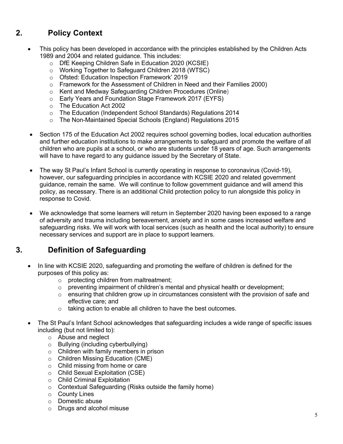## **2. Policy Context**

- This policy has been developed in accordance with the principles established by the Children Acts 1989 and 2004 and related guidance. This includes:
	- o DfE Keeping Children Safe in Education 2020 (KCSIE)
	- o Working Together to Safeguard Children 2018 (WTSC)
	- o Ofsted: Education Inspection Framework' 2019
	- o Framework for the Assessment of Children in Need and their Families 2000)
	- o Kent and Medway Safeguarding Children Procedures (Online)
	- o Early Years and Foundation Stage Framework 2017 (EYFS)
	- o The Education Act 2002
	- o The Education (Independent School Standards) Regulations 2014
	- o The Non-Maintained Special Schools (England) Regulations 2015
	- Section 175 of the Education Act 2002 requires school governing bodies, local education authorities and further education institutions to make arrangements to safeguard and promote the welfare of all children who are pupils at a school, or who are students under 18 years of age. Such arrangements will have to have regard to any guidance issued by the Secretary of State.
	- The way St Paul's Infant School is currently operating in response to coronavirus (Covid-19), however, our safeguarding principles in accordance with KCSIE 2020 and related government guidance, remain the same. We will continue to follow government guidance and will amend this policy, as necessary. There is an additional Child protection policy to run alongside this policy in response to Covid.
	- We acknowledge that some learners will return in September 2020 having been exposed to a range of adversity and trauma including bereavement, anxiety and in some cases increased welfare and safeguarding risks. We will work with local services (such as health and the local authority) to ensure necessary services and support are in place to support learners.

## **3. Definition of Safeguarding**

- In line with KCSIE 2020, safeguarding and promoting the welfare of children is defined for the purposes of this policy as:
	- o protecting children from maltreatment;
	- $\circ$  preventing impairment of children's mental and physical health or development;
	- $\circ$  ensuring that children grow up in circumstances consistent with the provision of safe and effective care; and
	- o taking action to enable all children to have the best outcomes.
- The St Paul's Infant School acknowledges that safeguarding includes a wide range of specific issues including (but not limited to):
	- o Abuse and neglect
	- o Bullying (including cyberbullying)
	- o Children with family members in prison
	- o Children Missing Education (CME)
	- o Child missing from home or care
	- o Child Sexual Exploitation (CSE)
	- o Child Criminal Exploitation
	- o Contextual Safeguarding (Risks outside the family home)
	- o County Lines
	- o Domestic abuse
	- o Drugs and alcohol misuse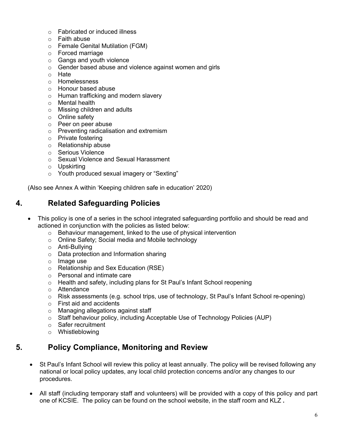- o Fabricated or induced illness
- o Faith abuse
- o Female Genital Mutilation (FGM)
- o Forced marriage
- o Gangs and youth violence
- o Gender based abuse and violence against women and girls
- o Hate
- o Homelessness
- o Honour based abuse
- o Human trafficking and modern slavery
- o Mental health
- o Missing children and adults
- o Online safety
- o Peer on peer abuse
- o Preventing radicalisation and extremism
- o Private fostering
- o Relationship abuse
- o Serious Violence
- o Sexual Violence and Sexual Harassment
- o Upskirting
- o Youth produced sexual imagery or "Sexting"

(Also see Annex A within 'Keeping children safe in education' 2020)

## **4. Related Safeguarding Policies**

- This policy is one of a series in the school integrated safeguarding portfolio and should be read and actioned in conjunction with the policies as listed below:
	- o Behaviour management, linked to the use of physical intervention
	- o Online Safety; Social media and Mobile technology
	- o Anti-Bullying
	- o Data protection and Information sharing
	- o Image use
	- o Relationship and Sex Education (RSE)
	- o Personal and intimate care
	- o Health and safety, including plans for St Paul's Infant School reopening
	- o Attendance
	- $\circ$  Risk assessments (e.g. school trips, use of technology, St Paul's Infant School re-opening)
	- o First aid and accidents
	- o Managing allegations against staff
	- o Staff behaviour policy, including Acceptable Use of Technology Policies (AUP)
	- o Safer recruitment
	- o Whistleblowing

### **5. Policy Compliance, Monitoring and Review**

- St Paul's Infant School will review this policy at least annually. The policy will be revised following any national or local policy updates, any local child protection concerns and/or any changes to our procedures.
- All staff (including temporary staff and volunteers) will be provided with a copy of this policy and part one of KCSIE. The policy can be found on the school website, in the staff room and KLZ **.**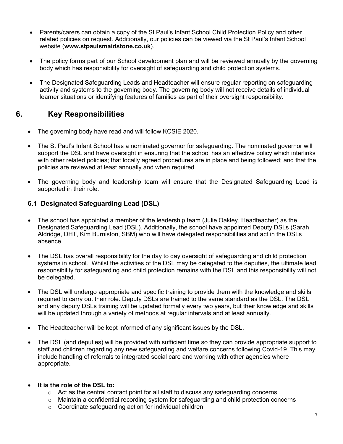- Parents/carers can obtain a copy of the St Paul's Infant School Child Protection Policy and other related policies on request. Additionally, our policies can be viewed via the St Paul's Infant School website (**www.stpaulsmaidstone.co.uk**).
- The policy forms part of our School development plan and will be reviewed annually by the governing body which has responsibility for oversight of safeguarding and child protection systems.
- The Designated Safeguarding Leads and Headteacher will ensure regular reporting on safeguarding activity and systems to the governing body. The governing body will not receive details of individual learner situations or identifying features of families as part of their oversight responsibility.

## **6. Key Responsibilities**

- The governing body have read and will follow KCSIE 2020.
- The St Paul's Infant School has a nominated governor for safeguarding. The nominated governor will support the DSL and have oversight in ensuring that the school has an effective policy which interlinks with other related policies; that locally agreed procedures are in place and being followed; and that the policies are reviewed at least annually and when required.
- The governing body and leadership team will ensure that the Designated Safeguarding Lead is supported in their role.

#### **6.1 Designated Safeguarding Lead (DSL)**

- The school has appointed a member of the leadership team (Julie Oakley, Headteacher) as the Designated Safeguarding Lead (DSL). Additionally, the school have appointed Deputy DSLs (Sarah Aldridge, DHT, Kim Burniston, SBM) who will have delegated responsibilities and act in the DSLs absence.
- The DSL has overall responsibility for the day to day oversight of safeguarding and child protection systems in school. Whilst the activities of the DSL may be delegated to the deputies, the ultimate lead responsibility for safeguarding and child protection remains with the DSL and this responsibility will not be delegated.
- The DSL will undergo appropriate and specific training to provide them with the knowledge and skills required to carry out their role. Deputy DSLs are trained to the same standard as the DSL. The DSL and any deputy DSLs training will be updated formally every two years, but their knowledge and skills will be updated through a variety of methods at regular intervals and at least annually.
- The Headteacher will be kept informed of any significant issues by the DSL.
- The DSL (and deputies) will be provided with sufficient time so they can provide appropriate support to staff and children regarding any new safeguarding and welfare concerns following Covid-19. This may include handling of referrals to integrated social care and working with other agencies where appropriate.

#### • **It is the role of the DSL to:**

- $\circ$  Act as the central contact point for all staff to discuss any safeguarding concerns
- $\circ$  Maintain a confidential recording system for safeguarding and child protection concerns
- o Coordinate safeguarding action for individual children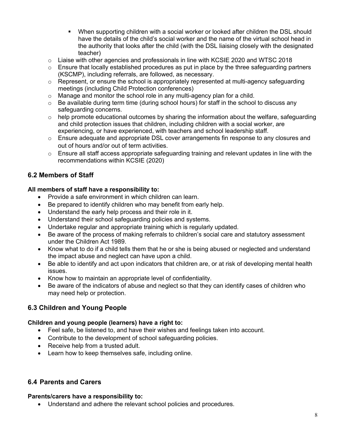- When supporting children with a social worker or looked after children the DSL should have the details of the child's social worker and the name of the virtual school head in the authority that looks after the child (with the DSL liaising closely with the designated teacher)
- $\circ$  Liaise with other agencies and professionals in line with KCSIE 2020 and WTSC 2018
- $\circ$  Ensure that locally established procedures as put in place by the three safeguarding partners (KSCMP), including referrals, are followed, as necessary.
- $\circ$  Represent, or ensure the school is appropriately represented at multi-agency safeguarding meetings (including Child Protection conferences)
- o Manage and monitor the school role in any multi-agency plan for a child.
- $\circ$  Be available during term time (during school hours) for staff in the school to discuss any safeguarding concerns.
- $\circ$  help promote educational outcomes by sharing the information about the welfare, safeguarding and child protection issues that children, including children with a social worker, are experiencing, or have experienced, with teachers and school leadership staff.
- o Ensure adequate and appropriate DSL cover arrangements fin response to any closures and out of hours and/or out of term activities.
- $\circ$  Ensure all staff access appropriate safeguarding training and relevant updates in line with the recommendations within KCSIE (2020)

#### **6.2 Members of Staff**

#### **All members of staff have a responsibility to:**

- Provide a safe environment in which children can learn.
- Be prepared to identify children who may benefit from early help.
- Understand the early help process and their role in it.
- Understand their school safeguarding policies and systems.
- Undertake regular and appropriate training which is regularly updated.
- Be aware of the process of making referrals to children's social care and statutory assessment under the Children Act 1989.
- Know what to do if a child tells them that he or she is being abused or neglected and understand the impact abuse and neglect can have upon a child.
- Be able to identify and act upon indicators that children are, or at risk of developing mental health issues.
- Know how to maintain an appropriate level of confidentiality.
- Be aware of the indicators of abuse and neglect so that they can identify cases of children who may need help or protection.

#### **6.3 Children and Young People**

#### **Children and young people (learners) have a right to:**

- Feel safe, be listened to, and have their wishes and feelings taken into account.
- Contribute to the development of school safeguarding policies.
- Receive help from a trusted adult.
- Learn how to keep themselves safe, including online.

#### **6.4 Parents and Carers**

#### **Parents/carers have a responsibility to:**

• Understand and adhere the relevant school policies and procedures.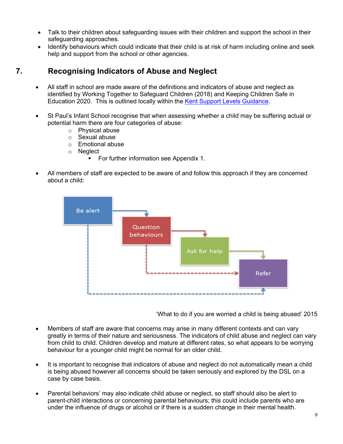- Talk to their children about safeguarding issues with their children and support the school in their safeguarding approaches.
- Identify behaviours which could indicate that their child is at risk of harm including online and seek help and support from the school or other agencies.

## **7. Recognising Indicators of Abuse and Neglect**

- All staff in school are made aware of the definitions and indicators of abuse and neglect as identified by Working Together to Safeguard Children (2018) and Keeping Children Safe in Education 2020. This is outlined locally within the Kent Support Levels Guidance.
- St Paul's Infant School recognise that when assessing whether a child may be suffering actual or potential harm there are four categories of abuse:
	- o Physical abuse
	- o Sexual abuse
	- o Emotional abuse
	- o Neglect
		- For further information see Appendix 1.
- All members of staff are expected to be aware of and follow this approach if they are concerned about a child:



'What to do if you are worried a child is being abused' 2015

- Members of staff are aware that concerns may arise in many different contexts and can vary greatly in terms of their nature and seriousness. The indicators of child abuse and neglect can vary from child to child. Children develop and mature at different rates, so what appears to be worrying behaviour for a younger child might be normal for an older child.
- It is important to recognise that indicators of abuse and neglect do not automatically mean a child is being abused however all concerns should be taken seriously and explored by the DSL on a case by case basis.
- Parental behaviors' may also indicate child abuse or neglect, so staff should also be alert to parent-child interactions or concerning parental behaviours; this could include parents who are under the influence of drugs or alcohol or if there is a sudden change in their mental health.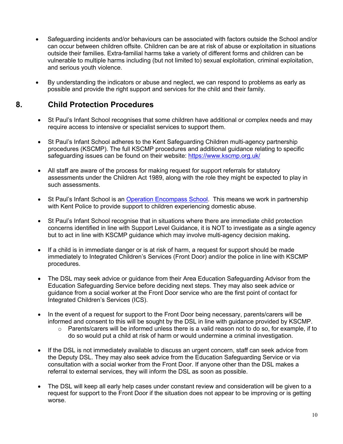- Safeguarding incidents and/or behaviours can be associated with factors outside the School and/or can occur between children offsite. Children can be are at risk of abuse or exploitation in situations outside their families. Extra-familial harms take a variety of different forms and children can be vulnerable to multiple harms including (but not limited to) sexual exploitation, criminal exploitation, and serious youth violence.
- By understanding the indicators or abuse and neglect, we can respond to problems as early as possible and provide the right support and services for the child and their family.

## **8. Child Protection Procedures**

- St Paul's Infant School recognises that some children have additional or complex needs and may require access to intensive or specialist services to support them.
- St Paul's Infant School adheres to the Kent Safeguarding Children multi-agency partnership procedures (KSCMP). The full KSCMP procedures and additional guidance relating to specific safeguarding issues can be found on their website: https://www.kscmp.org.uk/
- All staff are aware of the process for making request for support referrals for statutory assessments under the Children Act 1989, along with the role they might be expected to play in such assessments.
- St Paul's Infant School is an Operation Encompass School. This means we work in partnership with Kent Police to provide support to children experiencing domestic abuse.
- St Paul's Infant School recognise that in situations where there are immediate child protection concerns identified in line with Support Level Guidance, it is NOT to investigate as a single agency but to act in line with KSCMP guidance which may involve multi-agency decision making**.**
- If a child is in immediate danger or is at risk of harm, a request for support should be made immediately to Integrated Children's Services (Front Door) and/or the police in line with KSCMP procedures.
- The DSL may seek advice or guidance from their Area Education Safeguarding Advisor from the Education Safeguarding Service before deciding next steps. They may also seek advice or guidance from a social worker at the Front Door service who are the first point of contact for Integrated Children's Services (ICS).
- In the event of a request for support to the Front Door being necessary, parents/carers will be informed and consent to this will be sought by the DSL in line with guidance provided by KSCMP.
	- $\circ$  Parents/carers will be informed unless there is a valid reason not to do so, for example, if to do so would put a child at risk of harm or would undermine a criminal investigation.
- If the DSL is not immediately available to discuss an urgent concern, staff can seek advice from the Deputy DSL. They may also seek advice from the Education Safeguarding Service or via consultation with a social worker from the Front Door. If anyone other than the DSL makes a referral to external services, they will inform the DSL as soon as possible.
- The DSL will keep all early help cases under constant review and consideration will be given to a request for support to the Front Door if the situation does not appear to be improving or is getting worse.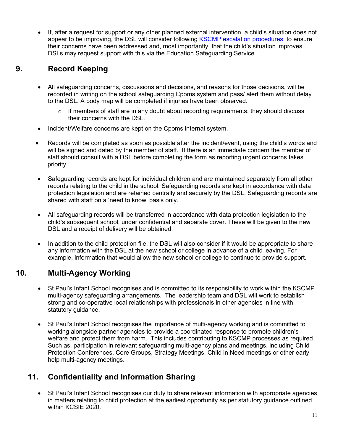• If, after a request for support or any other planned external intervention, a child's situation does not appear to be improving, the DSL will consider following KSCMP escalation procedures to ensure their concerns have been addressed and, most importantly, that the child's situation improves. DSLs may request support with this via the Education Safeguarding Service.

## **9. Record Keeping**

- All safeguarding concerns, discussions and decisions, and reasons for those decisions, will be recorded in writing on the school safeguarding Cpoms system and pass/ alert them without delay to the DSL. A body map will be completed if injuries have been observed.
	- $\circ$  If members of staff are in any doubt about recording requirements, they should discuss their concerns with the DSL.
- Incident/Welfare concerns are kept on the Cpoms internal system.
- Records will be completed as soon as possible after the incident/event, using the child's words and will be signed and dated by the member of staff. If there is an immediate concern the member of staff should consult with a DSL before completing the form as reporting urgent concerns takes priority.
- Safeguarding records are kept for individual children and are maintained separately from all other records relating to the child in the school. Safeguarding records are kept in accordance with data protection legislation and are retained centrally and securely by the DSL. Safeguarding records are shared with staff on a 'need to know' basis only.
- All safeguarding records will be transferred in accordance with data protection legislation to the child's subsequent school, under confidential and separate cover. These will be given to the new DSL and a receipt of delivery will be obtained.
- In addition to the child protection file, the DSL will also consider if it would be appropriate to share any information with the DSL at the new school or college in advance of a child leaving. For example, information that would allow the new school or college to continue to provide support.

## **10. Multi-Agency Working**

- St Paul's Infant School recognises and is committed to its responsibility to work within the KSCMP multi-agency safeguarding arrangements. The leadership team and DSL will work to establish strong and co-operative local relationships with professionals in other agencies in line with statutory guidance.
- St Paul's Infant School recognises the importance of multi-agency working and is committed to working alongside partner agencies to provide a coordinated response to promote children's welfare and protect them from harm. This includes contributing to KSCMP processes as required. Such as, participation in relevant safeguarding multi-agency plans and meetings, including Child Protection Conferences, Core Groups, Strategy Meetings, Child in Need meetings or other early help multi-agency meetings.

## **11. Confidentiality and Information Sharing**

• St Paul's Infant School recognises our duty to share relevant information with appropriate agencies in matters relating to child protection at the earliest opportunity as per statutory guidance outlined within KCSIE 2020.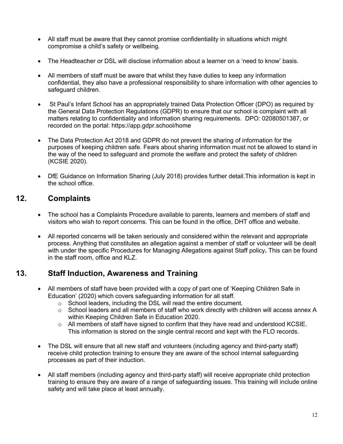- All staff must be aware that they cannot promise confidentiality in situations which might compromise a child's safety or wellbeing.
- The Headteacher or DSL will disclose information about a learner on a 'need to know' basis.
- All members of staff must be aware that whilst they have duties to keep any information confidential, they also have a professional responsibility to share information with other agencies to safeguard children.
- St Paul's Infant School has an appropriately trained Data Protection Officer (DPO) as required by the General Data Protection Regulations (GDPR) to ensure that our school is complaint with all matters relating to confidentiality and information sharing requirements. DPO: 02080501387, or recorded on the portal: https://app.gdpr.school/home
- The Data Protection Act 2018 and GDPR do not prevent the sharing of information for the purposes of keeping children safe. Fears about sharing information must not be allowed to stand in the way of the need to safeguard and promote the welfare and protect the safety of children (KCSIE 2020).
- DfE Guidance on Information Sharing (July 2018) provides further detail.This information is kept in the school office.

## **12. Complaints**

- The school has a Complaints Procedure available to parents, learners and members of staff and visitors who wish to report concerns. This can be found in the office, DHT office and website.
- All reported concerns will be taken seriously and considered within the relevant and appropriate process. Anything that constitutes an allegation against a member of staff or volunteer will be dealt with under the specific Procedures for Managing Allegations against Staff policy**.** This can be found in the staff room, office and KLZ.

## **13. Staff Induction, Awareness and Training**

- All members of staff have been provided with a copy of part one of 'Keeping Children Safe in Education' (2020) which covers safeguarding information for all staff.
	- o School leaders, including the DSL will read the entire document.
	- $\circ$  School leaders and all members of staff who work directly with children will access annex A within Keeping Children Safe in Education 2020.
	- $\circ$  All members of staff have signed to confirm that they have read and understood KCSIE. This information is stored on the single central record and kept with the FLO records.
- The DSL will ensure that all new staff and volunteers (including agency and third-party staff) receive child protection training to ensure they are aware of the school internal safeguarding processes as part of their induction.
- All staff members (including agency and third-party staff) will receive appropriate child protection training to ensure they are aware of a range of safeguarding issues. This training will include online safety and will take place at least annually.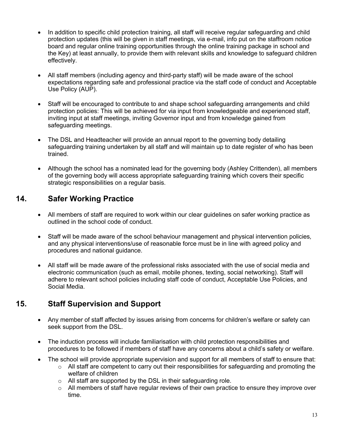- In addition to specific child protection training, all staff will receive regular safeguarding and child protection updates (this will be given in staff meetings, via e-mail, info put on the staffroom notice board and regular online training opportunities through the online training package in school and the Key) at least annually, to provide them with relevant skills and knowledge to safeguard children effectively.
- All staff members (including agency and third-party staff) will be made aware of the school expectations regarding safe and professional practice via the staff code of conduct and Acceptable Use Policy (AUP).
- Staff will be encouraged to contribute to and shape school safeguarding arrangements and child protection policies: This will be achieved for via input from knowledgeable and experienced staff, inviting input at staff meetings, inviting Governor input and from knowledge gained from safeguarding meetings.
- The DSL and Headteacher will provide an annual report to the governing body detailing safeguarding training undertaken by all staff and will maintain up to date register of who has been trained.
- Although the school has a nominated lead for the governing body (Ashley Crittenden), all members of the governing body will access appropriate safeguarding training which covers their specific strategic responsibilities on a regular basis.

## **14. Safer Working Practice**

- All members of staff are required to work within our clear guidelines on safer working practice as outlined in the school code of conduct.
- Staff will be made aware of the school behaviour management and physical intervention policies*,*  and any physical interventions/use of reasonable force must be in line with agreed policy and procedures and national guidance.
- All staff will be made aware of the professional risks associated with the use of social media and electronic communication (such as email, mobile phones, texting, social networking). Staff will adhere to relevant school policies including staff code of conduct, Acceptable Use Policies, and Social Media.

## **15. Staff Supervision and Support**

- Any member of staff affected by issues arising from concerns for children's welfare or safety can seek support from the DSL.
- The induction process will include familiarisation with child protection responsibilities and procedures to be followed if members of staff have any concerns about a child's safety or welfare.
- The school will provide appropriate supervision and support for all members of staff to ensure that:
	- $\circ$  All staff are competent to carry out their responsibilities for safeguarding and promoting the welfare of children
	- o All staff are supported by the DSL in their safeguarding role.
	- $\circ$  All members of staff have regular reviews of their own practice to ensure they improve over time.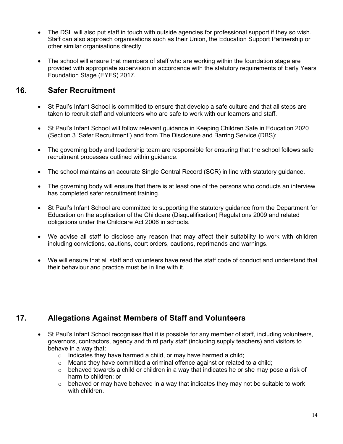- The DSL will also put staff in touch with outside agencies for professional support if they so wish. Staff can also approach organisations such as their Union, the Education Support Partnership or other similar organisations directly.
- The school will ensure that members of staff who are working within the foundation stage are provided with appropriate supervision in accordance with the statutory requirements of Early Years Foundation Stage (EYFS) 2017.

## **16. Safer Recruitment**

- St Paul's Infant School is committed to ensure that develop a safe culture and that all steps are taken to recruit staff and volunteers who are safe to work with our learners and staff.
- St Paul's Infant School will follow relevant guidance in Keeping Children Safe in Education 2020 (Section 3 'Safer Recruitment') and from The Disclosure and Barring Service (DBS):
- The governing body and leadership team are responsible for ensuring that the school follows safe recruitment processes outlined within guidance.
- The school maintains an accurate Single Central Record (SCR) in line with statutory guidance.
- The governing body will ensure that there is at least one of the persons who conducts an interview has completed safer recruitment training.
- St Paul's Infant School are committed to supporting the statutory guidance from the Department for Education on the application of the Childcare (Disqualification) Regulations 2009 and related obligations under the Childcare Act 2006 in schools.
- We advise all staff to disclose any reason that may affect their suitability to work with children including convictions, cautions, court orders, cautions, reprimands and warnings.
- We will ensure that all staff and volunteers have read the staff code of conduct and understand that their behaviour and practice must be in line with it.

## **17. Allegations Against Members of Staff and Volunteers**

- St Paul's Infant School recognises that it is possible for any member of staff, including volunteers, governors, contractors, agency and third party staff (including supply teachers) and visitors to behave in a way that:
	- $\circ$  Indicates they have harmed a child, or may have harmed a child;
	- $\circ$  Means they have committed a criminal offence against or related to a child;
	- $\circ$  behaved towards a child or children in a way that indicates he or she may pose a risk of harm to children; or
	- $\circ$  behaved or may have behaved in a way that indicates they may not be suitable to work with children.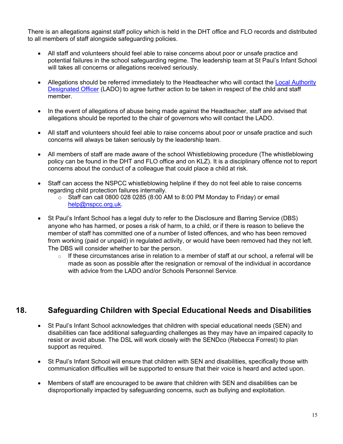There is an allegations against staff policy which is held in the DHT office and FLO records and distributed to all members of staff alongside safeguarding policies.

- All staff and volunteers should feel able to raise concerns about poor or unsafe practice and potential failures in the school safeguarding regime. The leadership team at St Paul's Infant School will takes all concerns or allegations received seriously.
- Allegations should be referred immediately to the Headteacher who will contact the Local Authority Designated Officer (LADO) to agree further action to be taken in respect of the child and staff member.
- In the event of allegations of abuse being made against the Headteacher, staff are advised that allegations should be reported to the chair of governors who will contact the LADO.
- All staff and volunteers should feel able to raise concerns about poor or unsafe practice and such concerns will always be taken seriously by the leadership team.
- All members of staff are made aware of the school Whistleblowing procedure (The whistleblowing policy can be found in the DHT and FLO office and on KLZ). It is a disciplinary offence not to report concerns about the conduct of a colleague that could place a child at risk.
- Staff can access the NSPCC whistleblowing helpline if they do not feel able to raise concerns regarding child protection failures internally.
	- $\circ$  Staff can call 0800 028 0285 (8:00 AM to 8:00 PM Monday to Friday) or email help@nspcc.org.uk.
- St Paul's Infant School has a legal duty to refer to the Disclosure and Barring Service (DBS) anyone who has harmed, or poses a risk of harm, to a child, or if there is reason to believe the member of staff has committed one of a number of listed offences, and who has been removed from working (paid or unpaid) in regulated activity, or would have been removed had they not left. The DBS will consider whether to bar the person.
	- $\circ$  If these circumstances arise in relation to a member of staff at our school, a referral will be made as soon as possible after the resignation or removal of the individual in accordance with advice from the LADO and/or Schools Personnel Service

## **18. Safeguarding Children with Special Educational Needs and Disabilities**

- St Paul's Infant School acknowledges that children with special educational needs (SEN) and disabilities can face additional safeguarding challenges as they may have an impaired capacity to resist or avoid abuse. The DSL will work closely with the SENDco (Rebecca Forrest) to plan support as required.
- St Paul's Infant School will ensure that children with SEN and disabilities, specifically those with communication difficulties will be supported to ensure that their voice is heard and acted upon.
- Members of staff are encouraged to be aware that children with SEN and disabilities can be disproportionally impacted by safeguarding concerns, such as bullying and exploitation.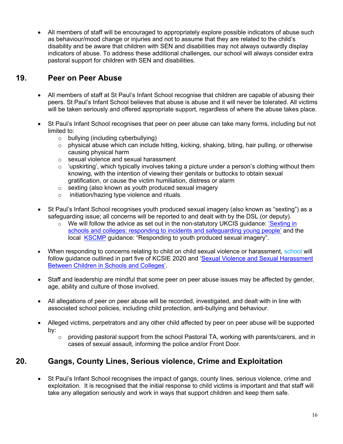• All members of staff will be encouraged to appropriately explore possible indicators of abuse such as behaviour/mood change or injuries and not to assume that they are related to the child's disability and be aware that children with SEN and disabilities may not always outwardly display indicators of abuse. To address these additional challenges, our school will always consider extra pastoral support for children with SEN and disabilities.

## **19. Peer on Peer Abuse**

- All members of staff at St Paul's Infant School recognise that children are capable of abusing their peers. St Paul's Infant School believes that abuse is abuse and it will never be tolerated. All victims will be taken seriously and offered appropriate support, regardless of where the abuse takes place.
- St Paul's Infant School recognises that peer on peer abuse can take many forms, including but not limited to:
	- o bullying (including cyberbullying)
	- o physical abuse which can include hitting, kicking, shaking, biting, hair pulling, or otherwise causing physical harm
	- o sexual violence and sexual harassment
	- $\circ$  'upskirting', which typically involves taking a picture under a person's clothing without them knowing, with the intention of viewing their genitals or buttocks to obtain sexual gratification, or cause the victim humiliation, distress or alarm
	- o sexting (also known as youth produced sexual imagery
	- o initiation/hazing type violence and rituals.
- St Paul's Infant School recognises youth produced sexual imagery (also known as "sexting") as a safeguarding issue; all concerns will be reported to and dealt with by the DSL (or deputy).
	- $\circ$  We will follow the advice as set out in the non-statutory UKCIS guidance: 'Sexting in schools and colleges: responding to incidents and safeguarding young people' and the local KSCMP guidance: "Responding to youth produced sexual imagery".
- When responding to concerns relating to child on child sexual violence or harassment, school will follow guidance outlined in part five of KCSIE 2020 and 'Sexual Violence and Sexual Harassment Between Children in Schools and Colleges'.
- Staff and leadership are mindful that some peer on peer abuse issues may be affected by gender, age, ability and culture of those involved.
- All allegations of peer on peer abuse will be recorded, investigated, and dealt with in line with associated school policies, including child protection, anti-bullying and behaviour.
- Alleged victims, perpetrators and any other child affected by peer on peer abuse will be supported by:
	- $\circ$  providing pastoral support from the school Pastoral TA, working with parents/carers, and in cases of sexual assault, informing the police and/or Front Door*.*

## **20. Gangs, County Lines, Serious violence, Crime and Exploitation**

• St Paul's Infant School recognises the impact of gangs, county lines, serious violence, crime and exploitation. It is recognised that the initial response to child victims is important and that staff will take any allegation seriously and work in ways that support children and keep them safe.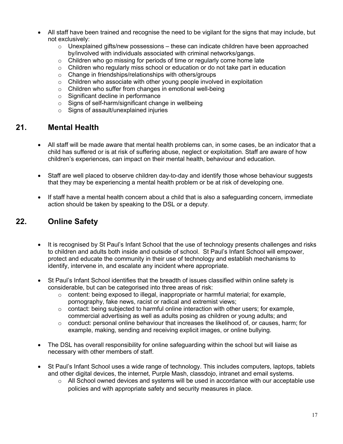- All staff have been trained and recognise the need to be vigilant for the signs that may include, but not exclusively:
	- $\circ$  Unexplained gifts/new possessions these can indicate children have been approached by/involved with individuals associated with criminal networks/gangs.
	- o Children who go missing for periods of time or regularly come home late
	- $\circ$  Children who regularly miss school or education or do not take part in education
	- o Change in friendships/relationships with others/groups
	- $\circ$  Children who associate with other young people involved in exploitation
	- o Children who suffer from changes in emotional well-being
	- o Significant decline in performance
	- o Signs of self-harm/significant change in wellbeing
	- o Signs of assault/unexplained injuries

### **21. Mental Health**

- All staff will be made aware that mental health problems can, in some cases, be an indicator that a child has suffered or is at risk of suffering abuse, neglect or exploitation. Staff are aware of how children's experiences, can impact on their mental health, behaviour and education.
- Staff are well placed to observe children day-to-day and identify those whose behaviour suggests that they may be experiencing a mental health problem or be at risk of developing one.
- If staff have a mental health concern about a child that is also a safeguarding concern, immediate action should be taken by speaking to the DSL or a deputy.

## **22. Online Safety**

- It is recognised by St Paul's Infant School that the use of technology presents challenges and risks to children and adults both inside and outside of school. St Paul's Infant School will empower, protect and educate the community in their use of technology and establish mechanisms to identify, intervene in, and escalate any incident where appropriate.
- St Paul's Infant School identifies that the breadth of issues classified within online safety is considerable, but can be categorised into three areas of risk:
	- $\circ$  content: being exposed to illegal, inappropriate or harmful material; for example, pornography, fake news, racist or radical and extremist views;
	- $\circ$  contact: being subjected to harmful online interaction with other users; for example, commercial advertising as well as adults posing as children or young adults; and
	- $\circ$  conduct: personal online behaviour that increases the likelihood of, or causes, harm; for example, making, sending and receiving explicit images, or online bullying.
- The DSL has overall responsibility for online safeguarding within the school but will liaise as necessary with other members of staff.
- St Paul's Infant School uses a wide range of technology. This includes computers, laptops, tablets and other digital devices, the internet, Purple Mash, classdojo, intranet and email systems.
	- $\circ$  All School owned devices and systems will be used in accordance with our acceptable use policies and with appropriate safety and security measures in place.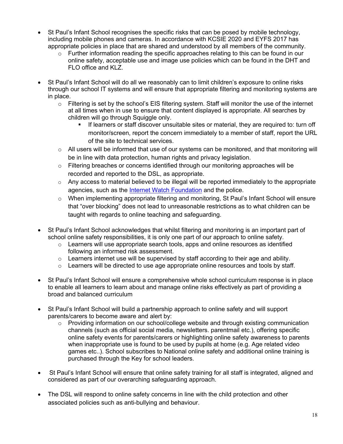- St Paul's Infant School recognises the specific risks that can be posed by mobile technology, including mobile phones and cameras. In accordance with KCSIE 2020 and EYFS 2017 has appropriate policies in place that are shared and understood by all members of the community.
	- $\circ$  Further information reading the specific approaches relating to this can be found in our online safety, acceptable use and image use policies which can be found in the DHT and FLO office and KLZ.
- St Paul's Infant School will do all we reasonably can to limit children's exposure to online risks through our school IT systems and will ensure that appropriate filtering and monitoring systems are in place.
	- $\circ$  Filtering is set by the school's EIS filtering system. Staff will monitor the use of the internet at all times when in use to ensure that content displayed is appropriate. All searches by children will go through Squiggle only.
		- § If learners or staff discover unsuitable sites or material, they are required to: turn off monitor/screen, report the concern immediately to a member of staff, report the URL of the site to technical services.
	- $\circ$  All users will be informed that use of our systems can be monitored, and that monitoring will be in line with data protection, human rights and privacy legislation.
	- $\circ$  Filtering breaches or concerns identified through our monitoring approaches will be recorded and reported to the DSL, as appropriate.
	- o Any access to material believed to be illegal will be reported immediately to the appropriate agencies, such as the Internet Watch Foundation and the police.
	- o When implementing appropriate filtering and monitoring, St Paul's Infant School will ensure that "over blocking" does not lead to unreasonable restrictions as to what children can be taught with regards to online teaching and safeguarding.
- St Paul's Infant School acknowledges that whilst filtering and monitoring is an important part of school online safety responsibilities, it is only one part of our approach to online safety.
	- $\circ$  Learners will use appropriate search tools, apps and online resources as identified following an informed risk assessment.
	- $\circ$  Learners internet use will be supervised by staff according to their age and ability.
	- $\circ$  Learners will be directed to use age appropriate online resources and tools by staff.
- St Paul's Infant School will ensure a comprehensive whole school curriculum response is in place to enable all learners to learn about and manage online risks effectively as part of providing a broad and balanced curriculum
- St Paul's Infant School will build a partnership approach to online safety and will support parents/carers to become aware and alert by:
	- o Providing information on our school/college website and through existing communication channels (such as official social media, newsletters. parentmail etc.), offering specific online safety events for parents/carers or highlighting online safety awareness to parents when inappropriate use is found to be used by pupils at home (e.g. Age related video games etc..). School subscribes to National online safety and additional online training is purchased through the Key for school leaders.
- St Paul's Infant School will ensure that online safety training for all staff is integrated, aligned and considered as part of our overarching safeguarding approach.
- The DSL will respond to online safety concerns in line with the child protection and other associated policies such as anti-bullying and behaviour.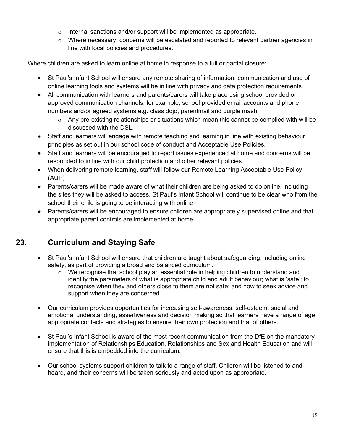- o Internal sanctions and/or support will be implemented as appropriate.
- $\circ$  Where necessary, concerns will be escalated and reported to relevant partner agencies in line with local policies and procedures.

Where children are asked to learn online at home in response to a full or partial closure:

- St Paul's Infant School will ensure any remote sharing of information, communication and use of online learning tools and systems will be in line with privacy and data protection requirements.
- All communication with learners and parents/carers will take place using school provided or approved communication channels; for example, school provided email accounts and phone numbers and/or agreed systems e.g. class dojo, parentmail and purple mash.
	- o Any pre-existing relationships or situations which mean this cannot be complied with will be discussed with the DSL.
- Staff and learners will engage with remote teaching and learning in line with existing behaviour principles as set out in our school code of conduct and Acceptable Use Policies.
- Staff and learners will be encouraged to report issues experienced at home and concerns will be responded to in line with our child protection and other relevant policies.
- When delivering remote learning, staff will follow our Remote Learning Acceptable Use Policy (AUP)
- Parents/carers will be made aware of what their children are being asked to do online, including the sites they will be asked to access. St Paul's Infant School will continue to be clear who from the school their child is going to be interacting with online.
- Parents/carers will be encouraged to ensure children are appropriately supervised online and that appropriate parent controls are implemented at home.

## **23. Curriculum and Staying Safe**

- St Paul's Infant School will ensure that children are taught about safeguarding, including online safety, as part of providing a broad and balanced curriculum.
	- $\circ$  We recognise that school play an essential role in helping children to understand and identify the parameters of what is appropriate child and adult behaviour; what is 'safe'; to recognise when they and others close to them are not safe; and how to seek advice and support when they are concerned.
- Our curriculum provides opportunities for increasing self-awareness, self-esteem, social and emotional understanding, assertiveness and decision making so that learners have a range of age appropriate contacts and strategies to ensure their own protection and that of others.
- St Paul's Infant School is aware of the most recent communication from the DfE on the mandatory implementation of Relationships Education, Relationships and Sex and Health Education and will ensure that this is embedded into the curriculum.
- Our school systems support children to talk to a range of staff. Children will be listened to and heard, and their concerns will be taken seriously and acted upon as appropriate.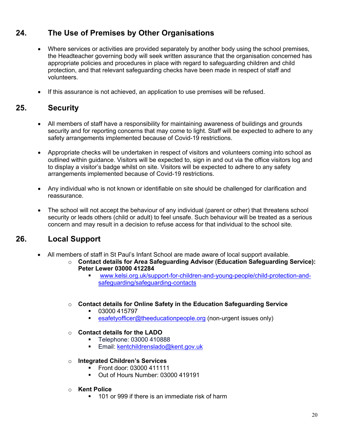## **24. The Use of Premises by Other Organisations**

- Where services or activities are provided separately by another body using the school premises, the Headteacher governing body will seek written assurance that the organisation concerned has appropriate policies and procedures in place with regard to safeguarding children and child protection, and that relevant safeguarding checks have been made in respect of staff and volunteers.
- If this assurance is not achieved, an application to use premises will be refused.

## **25. Security**

- All members of staff have a responsibility for maintaining awareness of buildings and grounds security and for reporting concerns that may come to light. Staff will be expected to adhere to any safety arrangements implemented because of Covid-19 restrictions.
- Appropriate checks will be undertaken in respect of visitors and volunteers coming into school as outlined within guidance. Visitors will be expected to, sign in and out via the office visitors log and to display a visitor's badge whilst on site. Visitors will be expected to adhere to any safety arrangements implemented because of Covid-19 restrictions.
- Any individual who is not known or identifiable on site should be challenged for clarification and reassurance.
- The school will not accept the behaviour of any individual (parent or other) that threatens school security or leads others (child or adult) to feel unsafe. Such behaviour will be treated as a serious concern and may result in a decision to refuse access for that individual to the school site.

## **26. Local Support**

- All members of staff in St Paul's Infant School are made aware of local support available.
	- o **Contact details for Area Safeguarding Advisor (Education Safeguarding Service): Peter Lewer 03000 412284**
		- § www.kelsi.org.uk/support-for-children-and-young-people/child-protection-andsafeguarding/safeguarding-contacts
	- o **Contact details for Online Safety in the Education Safeguarding Service**
		- § 03000 415797
			- esafetyofficer@theeducationpeople.org (non-urgent issues only)
	- o **Contact details for the LADO**
		- § Telephone: 03000 410888
		- Email: kentchildrenslado@kent.gov.uk
	- o **Integrated Children's Services** 
		- § Front door: 03000 411111
		- Out of Hours Number: 03000 419191
	- o **Kent Police**
		- 101 or 999 if there is an immediate risk of harm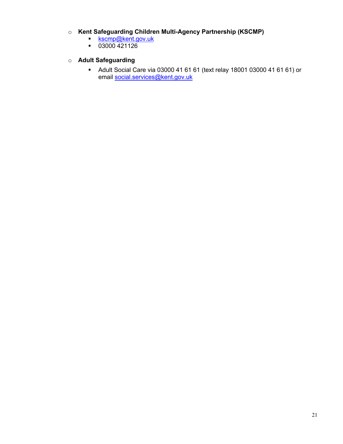#### o **Kent Safeguarding Children Multi-Agency Partnership (KSCMP)**

- **Kscmp@kent.gov.uk**
- § 03000 421126

#### o **Adult Safeguarding**

§ Adult Social Care via 03000 41 61 61 (text relay 18001 03000 41 61 61) or email social.services@kent.gov.uk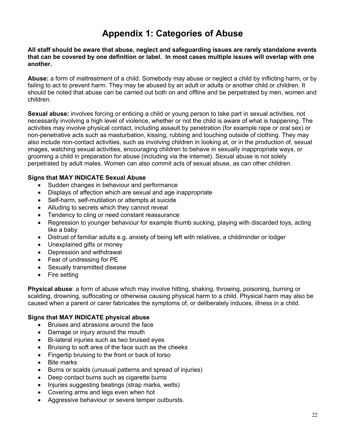## **Appendix 1: Categories of Abuse**

**All staff should be aware that abuse, neglect and safeguarding issues are rarely standalone events that can be covered by one definition or label. In most cases multiple issues will overlap with one another.**

**Abuse:** a form of maltreatment of a child. Somebody may abuse or neglect a child by inflicting harm, or by failing to act to prevent harm. They may be abused by an adult or adults or another child or children. It should be noted that abuse can be carried out both on and offline and be perpetrated by men, women and children.

**Sexual abuse:** involves forcing or enticing a child or young person to take part in sexual activities, not necessarily involving a high level of violence, whether or not the child is aware of what is happening. The activities may involve physical contact, including assault by penetration (for example rape or oral sex) or non-penetrative acts such as masturbation, kissing, rubbing and touching outside of clothing. They may also include non-contact activities, such as involving children in looking at, or in the production of, sexual images, watching sexual activities, encouraging children to behave in sexually inappropriate ways, or grooming a child in preparation for abuse (including via the internet). Sexual abuse is not solely perpetrated by adult males. Women can also commit acts of sexual abuse, as can other children.

#### **Signs that MAY INDICATE Sexual Abuse**

- Sudden changes in behaviour and performance
- Displays of affection which are sexual and age inappropriate
- Self-harm, self-mutilation or attempts at suicide
- Alluding to secrets which they cannot reveal
- Tendency to cling or need constant reassurance
- Regression to younger behaviour for example thumb sucking, playing with discarded toys, acting like a baby
- Distrust of familiar adults e.g. anxiety of being left with relatives, a childminder or lodger
- Unexplained gifts or money
- Depression and withdrawal
- Fear of undressing for PE
- Sexually transmitted disease
- Fire setting

**Physical abuse**: a form of abuse which may involve hitting, shaking, throwing, poisoning, burning or scalding, drowning, suffocating or otherwise causing physical harm to a child. Physical harm may also be caused when a parent or carer fabricates the symptoms of, or deliberately induces, illness in a child.

#### **Signs that MAY INDICATE physical abuse**

- Bruises and abrasions around the face
- Damage or injury around the mouth
- Bi-lateral injuries such as two bruised eyes
- Bruising to soft area of the face such as the cheeks
- Fingertip bruising to the front or back of torso
- Bite marks
- Burns or scalds (unusual patterns and spread of injuries)
- Deep contact burns such as cigarette burns
- Injuries suggesting beatings (strap marks, welts)
- Covering arms and legs even when hot
- Aggressive behaviour or severe temper outbursts.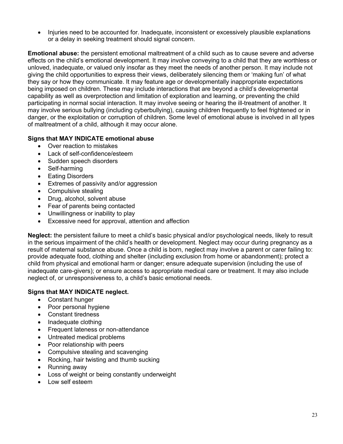• Injuries need to be accounted for. Inadequate, inconsistent or excessively plausible explanations or a delay in seeking treatment should signal concern.

**Emotional abuse:** the persistent emotional maltreatment of a child such as to cause severe and adverse effects on the child's emotional development. It may involve conveying to a child that they are worthless or unloved, inadequate, or valued only insofar as they meet the needs of another person. It may include not giving the child opportunities to express their views, deliberately silencing them or 'making fun' of what they say or how they communicate. It may feature age or developmentally inappropriate expectations being imposed on children. These may include interactions that are beyond a child's developmental capability as well as overprotection and limitation of exploration and learning, or preventing the child participating in normal social interaction. It may involve seeing or hearing the ill-treatment of another. It may involve serious bullying (including cyberbullying), causing children frequently to feel frightened or in danger, or the exploitation or corruption of children. Some level of emotional abuse is involved in all types of maltreatment of a child, although it may occur alone.

#### **Signs that MAY INDICATE emotional abuse**

- Over reaction to mistakes
- Lack of self-confidence/esteem
- Sudden speech disorders
- Self-harming
- **Eating Disorders**
- Extremes of passivity and/or aggression
- Compulsive stealing
- Drug, alcohol, solvent abuse
- Fear of parents being contacted
- Unwillingness or inability to play
- Excessive need for approval, attention and affection

**Neglect:** the persistent failure to meet a child's basic physical and/or psychological needs, likely to result in the serious impairment of the child's health or development. Neglect may occur during pregnancy as a result of maternal substance abuse. Once a child is born, neglect may involve a parent or carer failing to: provide adequate food, clothing and shelter (including exclusion from home or abandonment); protect a child from physical and emotional harm or danger; ensure adequate supervision (including the use of inadequate care-givers); or ensure access to appropriate medical care or treatment. It may also include neglect of, or unresponsiveness to, a child's basic emotional needs.

#### **Signs that MAY INDICATE neglect.**

- Constant hunger
- Poor personal hygiene
- Constant tiredness
- Inadequate clothing
- Frequent lateness or non-attendance
- Untreated medical problems
- Poor relationship with peers
- Compulsive stealing and scavenging
- Rocking, hair twisting and thumb sucking
- Running away
- Loss of weight or being constantly underweight
- Low self esteem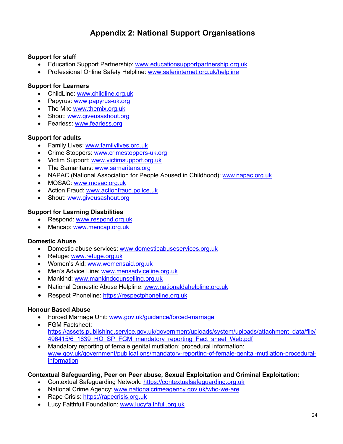## **Appendix 2: National Support Organisations**

#### **Support for staff**

- Education Support Partnership: www.educationsupportpartnership.org.uk
- Professional Online Safety Helpline: www.saferinternet.org.uk/helpline

#### **Support for Learners**

- ChildLine: www.childline.org.uk
- Papyrus: www.papyrus-uk.org
- The Mix: www.themix.org.uk
- Shout: www.giveusashout.org
- Fearless: www.fearless.org

#### **Support for adults**

- Family Lives: www.familylives.org.uk
- Crime Stoppers: www.crimestoppers-uk.org
- Victim Support: www.victimsupport.org.uk
- The Samaritans: www.samaritans.org
- NAPAC (National Association for People Abused in Childhood): www.napac.org.uk
- MOSAC: www.mosac.org.uk
- Action Fraud: www.actionfraud.police.uk
- Shout: www.giveusashout.org

#### **Support for Learning Disabilities**

- Respond: www.respond.org.uk
- Mencap: www.mencap.org.uk

#### **Domestic Abuse**

- Domestic abuse services: www.domesticabuseservices.org.uk
- Refuge: www.refuge.org.uk
- Women's Aid: www.womensaid.org.uk
- Men's Advice Line: www.mensadviceline.org.uk
- Mankind: www.mankindcounselling.org.uk
- National Domestic Abuse Helpline: www.nationaldahelpline.org.uk
- Respect Phoneline: https://respectphoneline.org.uk

#### **Honour Based Abuse**

- Forced Marriage Unit: www.gov.uk/guidance/forced-marriage
- FGM Factsheet: https://assets.publishing.service.gov.uk/government/uploads/system/uploads/attachment\_data/file/ 496415/6\_1639\_HO\_SP\_FGM\_mandatory\_reporting\_Fact\_sheet\_Web.pdf
- Mandatory reporting of female genital mutilation: procedural information: www.gov.uk/government/publications/mandatory-reporting-of-female-genital-mutilation-proceduralinformation

#### **Contextual Safeguarding, Peer on Peer abuse, Sexual Exploitation and Criminal Exploitation:**

- Contextual Safeguarding Network: https://contextualsafeguarding.org.uk
- National Crime Agency: www.nationalcrimeagency.gov.uk/who-we-are
- Rape Crisis: https://rapecrisis.org.uk
- Lucy Faithfull Foundation: www.lucyfaithfull.org.uk